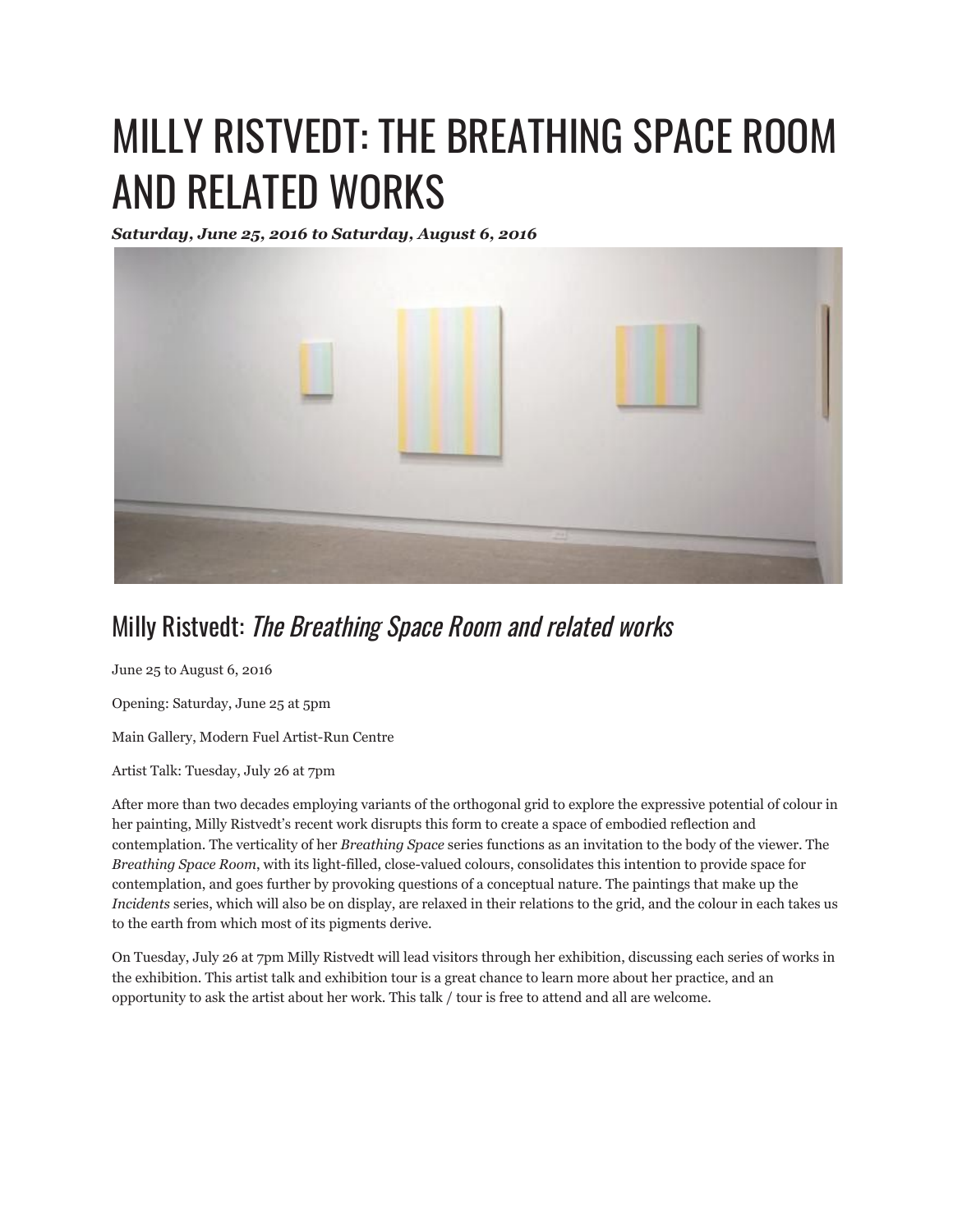## MILLY RISTVEDT: THE BREATHING SPACE ROOM AND RELATED WORKS

*Saturday, June 25, 2016 to Saturday, August 6, 2016*



## Milly Ristvedt: The Breathing Space Room and related works

June 25 to August 6, 2016

Opening: Saturday, June 25 at 5pm

Main Gallery, Modern Fuel Artist-Run Centre

Artist Talk: Tuesday, July 26 at 7pm

After more than two decades employing variants of the orthogonal grid to explore the expressive potential of colour in her painting, Milly Ristvedt's recent work disrupts this form to create a space of embodied reflection and contemplation. The verticality of her *Breathing Space* series functions as an invitation to the body of the viewer. The *Breathing Space Room*, with its light-filled, close-valued colours, consolidates this intention to provide space for contemplation, and goes further by provoking questions of a conceptual nature. The paintings that make up the *Incidents* series, which will also be on display, are relaxed in their relations to the grid, and the colour in each takes us to the earth from which most of its pigments derive.

On Tuesday, July 26 at 7pm Milly Ristvedt will lead visitors through her exhibition, discussing each series of works in the exhibition. This artist talk and exhibition tour is a great chance to learn more about her practice, and an opportunity to ask the artist about her work. This talk / tour is free to attend and all are welcome.